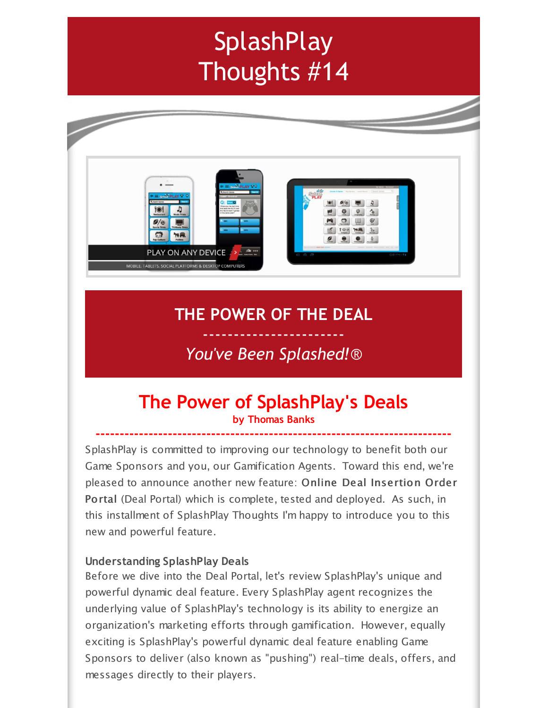# **SplashPlay** Thoughts #14



# **THE POWER OF THE DEAL**

## ----------------------- *You've Been Splashed!*®

## **The Power of SplashPlay's Deals by Thomas Banks**

**--------------------------------------------------------------------------**

SplashPlay is committed to improving our technology to benefit both our Game Sponsors and you, our Gamification Agents. Toward this end, we're pleased to announce another new feature: Online Deal Insertion Order Portal (Deal Portal) which is complete, tested and deployed. As such, in this installment of SplashPlay Thoughts I'm happy to introduce you to this new and powerful feature.

#### **Understanding SplashPlay Deals**

Before we dive into the Deal Portal, let's review SplashPlay's unique and powerful dynamic deal feature. Every SplashPlay agent recognizes the underlying value of SplashPlay's technology is its ability to energize an organization's marketing efforts through gamification. However, equally exciting is SplashPlay's powerful dynamic deal feature enabling Game Sponsors to deliver (also known as "pushing") real-time deals, offers, and messages directly to their players.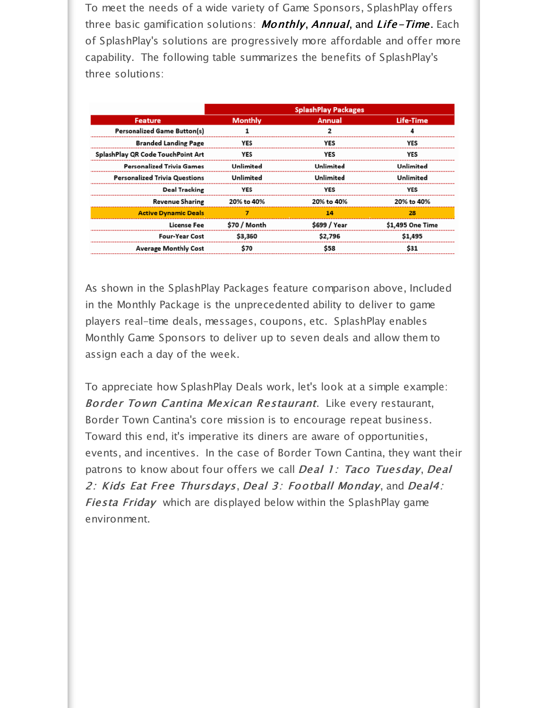To meet the needs of a wide variety of Game Sponsors, SplashPlay offers three basic gamification solutions: **Monthly, Annual, and Life-Time**. Each of SplashPlay's solutions are progressively more affordable and offer more capability. The following table summarizes the benefits of SplashPlay's three solutions:

| <b>SplashPlay Packages</b>       |               |                        |  |  |  |
|----------------------------------|---------------|------------------------|--|--|--|
| <b>Monthly</b>                   | <b>Annual</b> | Life-Time              |  |  |  |
|                                  |               |                        |  |  |  |
| <b>YES</b>                       | <b>YES</b>    | <b>YES</b>             |  |  |  |
| <b>YES</b>                       | YES           | <b>YES</b>             |  |  |  |
| <b>Unlimited</b>                 | Unlimited     | Unlimited<br>Unlimited |  |  |  |
| Unlimited                        | Unlimited     |                        |  |  |  |
| YES                              | YES           | <b>YES</b>             |  |  |  |
| 20% to 40%                       | 20% to 40%    | 20% to 40%             |  |  |  |
| <b>Active Dynamic Deals</b><br>7 | 14            | 28                     |  |  |  |
| \$70 / Month                     | \$699 / Year  | \$1,495 One Time       |  |  |  |
| \$3,360                          | \$2,796       | \$1,495                |  |  |  |
| \$70                             | \$58          | \$31                   |  |  |  |
|                                  |               |                        |  |  |  |

As shown in the SplashPlay Packages feature comparison above, Included in the Monthly Package is the unprecedented ability to deliver to game players real-time deals, messages, coupons, etc. SplashPlay enables Monthly Game Sponsors to deliver up to seven deals and allow them to assign each a day of the week.

To appreciate how SplashPlay Deals work, let's look at a simple example: Border Town Cantina Mexican Restaurant. Like every restaurant, Border Town Cantina's core mission is to encourage repeat business. Toward this end, it's imperative its diners are aware of opportunities, events, and incentives. In the case of Border Town Cantina, they want their patrons to know about four offers we call Deal 1: Taco Tuesday, Deal 2: Kids Eat Free Thursdays, Deal 3: Football Monday, and Deal4: Fiesta Friday which are displayed below within the SplashPlay game environment.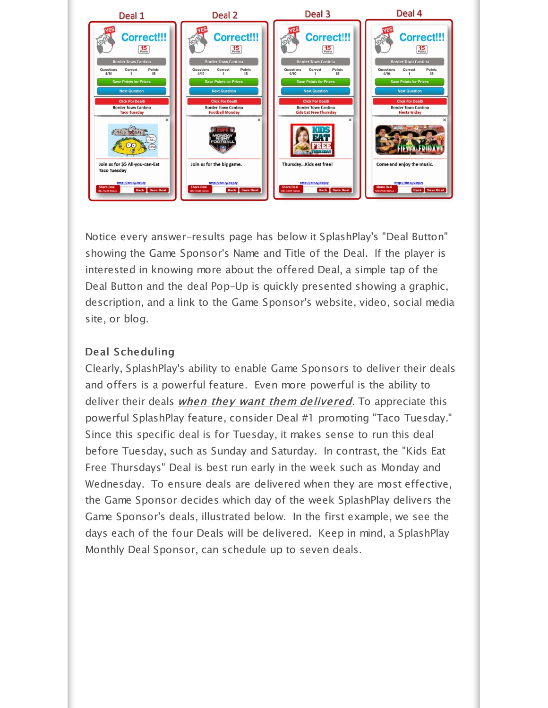

Notice every answer-results page has below it SplashPlay's "Deal Button" showing the Game Sponsor's Name and Title of the Deal. If the player is interested in knowing more about the offered Deal, a simple tap of the Deal Button and the deal Pop-Up is quickly presented showing a graphic, description, and a link to the Game Sponsor's website, video, social media site, or blog.

## Deal Scheduling

Clearly, SplashPlay's ability to enable Game Sponsors to deliver their deals and offers is a powerful feature. Even more powerful is the ability to deliver their deals *when they want them delivered*. To appreciate this powerful SplashPlay feature, consider Deal #1 promoting "Taco Tuesday." Since this specific deal is for Tuesday, it makes sense to run this deal before Tuesday, such as Sunday and Saturday. In contrast, the "Kids Eat Free Thursdays" Deal is best run early in the week such as Monday and Wednesday. To ensure deals are delivered when they are most effective, the Game Sponsor decides which day of the week SplashPlay delivers the Game Sponsor's deals, illustrated below. In the first example, we see the days each of the four Deals will be delivered. Keep in mind, a SplashPlay Monthly Deal Sponsor, can schedule up to seven deals.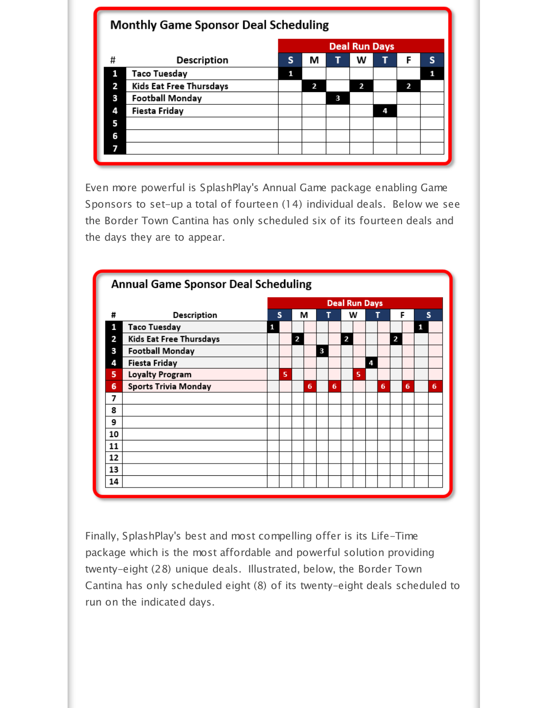| <b>Monthly Game Sponsor Deal Scheduling</b> |                         |                      |   |   |   |   |   |   |  |  |
|---------------------------------------------|-------------------------|----------------------|---|---|---|---|---|---|--|--|
|                                             |                         | <b>Deal Run Days</b> |   |   |   |   |   |   |  |  |
| #                                           | <b>Description</b>      | S                    | М | н | w | ı | F | s |  |  |
| 1                                           | Taco Tuesday            | 1                    |   |   |   |   |   | 1 |  |  |
| 2                                           | Kids Eat Free Thursdays |                      | 2 |   | 2 |   | 2 |   |  |  |
| 3                                           | <b>Football Monday</b>  |                      |   | 3 |   |   |   |   |  |  |
| 4                                           | Fiesta Friday           |                      |   |   |   | 4 |   |   |  |  |
| 5                                           |                         |                      |   |   |   |   |   |   |  |  |
| 6                                           |                         |                      |   |   |   |   |   |   |  |  |
|                                             |                         |                      |   |   |   |   |   |   |  |  |
|                                             |                         |                      |   |   |   |   |   |   |  |  |

Even more powerful is SplashPlay's Annual Game package enabling Game Sponsors to set-up a total of fourteen (14) individual deals. Below we see the Border Town Cantina has only scheduled six of its fourteen deals and the days they are to appear.



Finally, SplashPlay's best and most compelling offer is its Life-Time package which is the most affordable and powerful solution providing twenty-eight (28) unique deals. Illustrated, below, the Border Town Cantina has only scheduled eight (8) of its twenty-eight deals scheduled to run on the indicated days.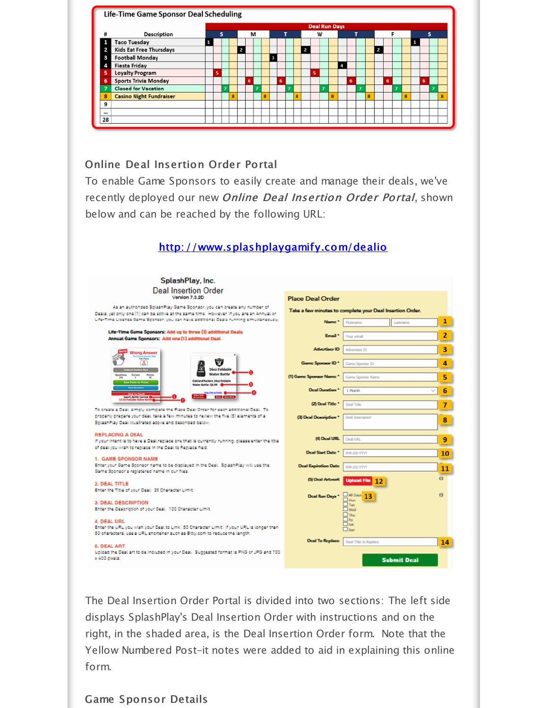

## Online Deal Insertion Order Portal

To enable Game Sponsors to easily create and manage their deals, we've recently deployed our new Online Deal Insertion Order Portal, shown below and can be reached by the following URL:



The Deal Insertion Order Portal is divided into two sections: The left side displays SplashPlay's Deal Insertion Order with instructions and on the right, in the shaded area, is the Deal Insertion Order form. Note that the Yellow Numbered Post-it notes were added to aid in explaining this online form.

#### Game Sponsor Details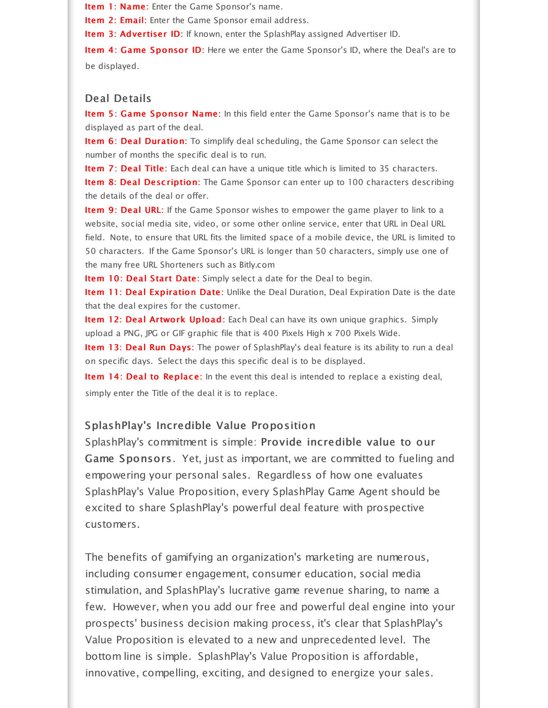Item 1: Name: Enter the Game Sponsor's name.

Item 2: Email: Enter the Game Sponsor email address.

Item 3: Advertiser ID: If known, enter the SplashPlay assigned Advertiser ID.

Item 4: Game Sponsor ID: Here we enter the Game Sponsor's ID, where the Deal's are to be displayed.

#### Deal Details

Item 5: Game Sponsor Name: In this field enter the Game Sponsor's name that is to be displayed as part of the deal.

Item 6: Deal Duration: To simplify deal scheduling, the Game Sponsor can select the number of months the specific deal is to run.

Item 7: Deal Title: Each deal can have a unique title which is limited to 35 characters. Item 8: Deal Description: The Game Sponsor can enter up to 100 characters describing the details of the deal or offer.

Item 9: Deal URL: If the Game Sponsor wishes to empower the game player to link to a website, social media site, video, or some other online service, enter that URL in Deal URL field. Note, to ensure that URL fits the limited space of a mobile device, the URL is limited to 50 characters. If the Game Sponsor's URL is longer than 50 characters, simply use one of the many free URL Shorteners such as Bitly.com

Item 10: Deal Start Date: Simply select a date for the Deal to begin.

Item 11: Deal Expiration Date: Unlike the Deal Duration, Deal Expiration Date is the date that the deal expires for the customer.

Item 12: Deal Artwork Upload: Each Deal can have its own unique graphics. Simply upload a PNG, JPG or GIF graphic file that is 400 Pixels High x 700 Pixels Wide.

Item 13: Deal Run Days: The power of SplashPlay's deal feature is its ability to run a deal on specific days. Select the days this specific deal is to be displayed.

Item 14: Deal to Replace: In the event this deal is intended to replace a existing deal, simply enter the Title of the deal it is to replace.

#### SplashPlay's Incredible Value Proposition

SplashPlay's commitment is simple: Provide incredible value to our Game Sponsors. Yet, just as important, we are committed to fueling and empowering your personal sales. Regardless of how one evaluates SplashPlay's Value Proposition, every SplashPlay Game Agent should be excited to share SplashPlay's powerful deal feature with prospective customers.

The benefits of gamifying an organization's marketing are numerous, including consumer engagement, consumer education, social media stimulation, and SplashPlay's lucrative game revenue sharing, to name a few. However, when you add our free and powerful deal engine into your prospects' business decision making process, it's clear that SplashPlay's Value Proposition is elevated to a new and unprecedented level. The bottom line is simple. SplashPlay's Value Proposition is affordable, innovative, compelling, exciting, and designed to energize your sales.